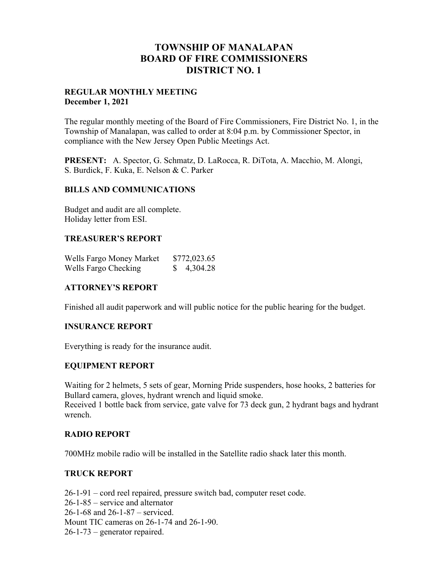## **TOWNSHIP OF MANALAPAN BOARD OF FIRE COMMISSIONERS DISTRICT NO. 1**

#### **REGULAR MONTHLY MEETING December 1, 2021**

The regular monthly meeting of the Board of Fire Commissioners, Fire District No. 1, in the Township of Manalapan, was called to order at 8:04 p.m. by Commissioner Spector, in compliance with the New Jersey Open Public Meetings Act.

**PRESENT:** A. Spector, G. Schmatz, D. LaRocca, R. DiTota, A. Macchio, M. Alongi, S. Burdick, F. Kuka, E. Nelson & C. Parker

#### **BILLS AND COMMUNICATIONS**

Budget and audit are all complete. Holiday letter from ESI.

### **TREASURER'S REPORT**

| Wells Fargo Money Market | \$772,023.65 |
|--------------------------|--------------|
| Wells Fargo Checking     | \$4,304.28   |

## **ATTORNEY'S REPORT**

Finished all audit paperwork and will public notice for the public hearing for the budget.

## **INSURANCE REPORT**

Everything is ready for the insurance audit.

## **EQUIPMENT REPORT**

Waiting for 2 helmets, 5 sets of gear, Morning Pride suspenders, hose hooks, 2 batteries for Bullard camera, gloves, hydrant wrench and liquid smoke. Received 1 bottle back from service, gate valve for 73 deck gun, 2 hydrant bags and hydrant wrench.

## **RADIO REPORT**

700MHz mobile radio will be installed in the Satellite radio shack later this month.

## **TRUCK REPORT**

26-1-91 – cord reel repaired, pressure switch bad, computer reset code. 26-1-85 – service and alternator 26-1-68 and 26-1-87 – serviced. Mount TIC cameras on 26-1-74 and 26-1-90. 26-1-73 – generator repaired.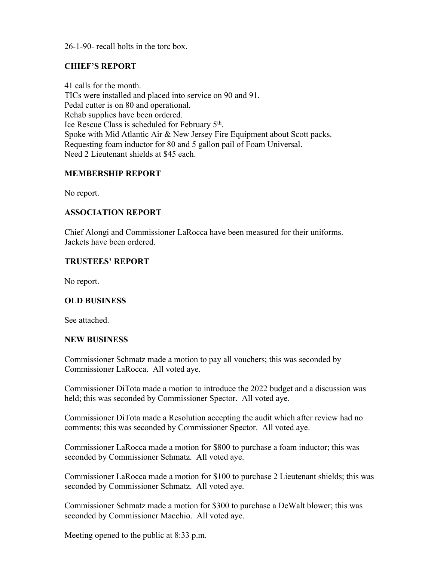26-1-90- recall bolts in the torc box.

## **CHIEF'S REPORT**

41 calls for the month. TICs were installed and placed into service on 90 and 91. Pedal cutter is on 80 and operational. Rehab supplies have been ordered. Ice Rescue Class is scheduled for February 5th. Spoke with Mid Atlantic Air & New Jersey Fire Equipment about Scott packs. Requesting foam inductor for 80 and 5 gallon pail of Foam Universal. Need 2 Lieutenant shields at \$45 each.

### **MEMBERSHIP REPORT**

No report.

#### **ASSOCIATION REPORT**

Chief Alongi and Commissioner LaRocca have been measured for their uniforms. Jackets have been ordered.

#### **TRUSTEES' REPORT**

No report.

#### **OLD BUSINESS**

See attached.

#### **NEW BUSINESS**

Commissioner Schmatz made a motion to pay all vouchers; this was seconded by Commissioner LaRocca. All voted aye.

Commissioner DiTota made a motion to introduce the 2022 budget and a discussion was held; this was seconded by Commissioner Spector. All voted aye.

Commissioner DiTota made a Resolution accepting the audit which after review had no comments; this was seconded by Commissioner Spector. All voted aye.

Commissioner LaRocca made a motion for \$800 to purchase a foam inductor; this was seconded by Commissioner Schmatz. All voted aye.

Commissioner LaRocca made a motion for \$100 to purchase 2 Lieutenant shields; this was seconded by Commissioner Schmatz. All voted aye.

Commissioner Schmatz made a motion for \$300 to purchase a DeWalt blower; this was seconded by Commissioner Macchio. All voted aye.

Meeting opened to the public at 8:33 p.m.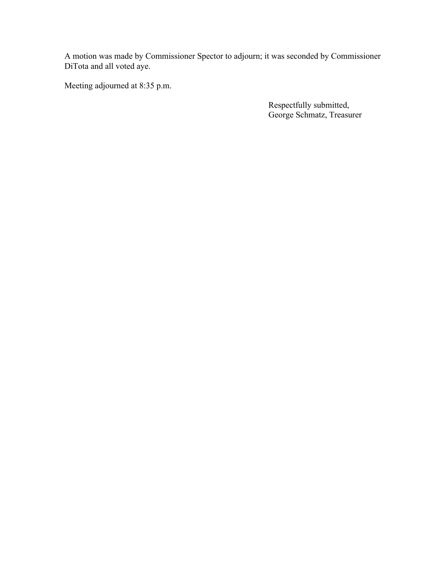A motion was made by Commissioner Spector to adjourn; it was seconded by Commissioner DiTota and all voted aye.

Meeting adjourned at 8:35 p.m.

Respectfully submitted, George Schmatz, Treasurer